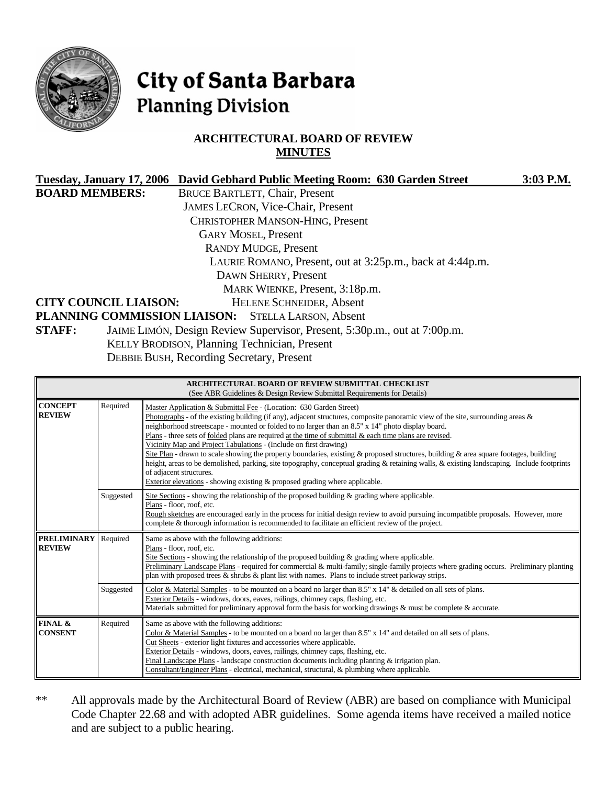

# City of Santa Barbara **Planning Division**

# **ARCHITECTURAL BOARD OF REVIEW MINUTES**

|                       |                                                                           | Tuesday, January 17, 2006 David Gebhard Public Meeting Room: 630 Garden Street | 3:03 P.M. |
|-----------------------|---------------------------------------------------------------------------|--------------------------------------------------------------------------------|-----------|
| <b>BOARD MEMBERS:</b> |                                                                           | <b>BRUCE BARTLETT, Chair, Present</b>                                          |           |
|                       |                                                                           | <b>JAMES LECRON, Vice-Chair, Present</b>                                       |           |
|                       |                                                                           | <b>CHRISTOPHER MANSON-HING, Present</b>                                        |           |
|                       |                                                                           | <b>GARY MOSEL, Present</b>                                                     |           |
|                       |                                                                           | <b>RANDY MUDGE, Present</b>                                                    |           |
|                       |                                                                           | LAURIE ROMANO, Present, out at 3:25p.m., back at 4:44p.m.                      |           |
|                       |                                                                           | DAWN SHERRY, Present                                                           |           |
|                       |                                                                           | MARK WIENKE, Present, 3:18p.m.                                                 |           |
|                       | <b>CITY COUNCIL LIAISON:</b>                                              | <b>HELENE SCHNEIDER, Absent</b>                                                |           |
|                       |                                                                           | PLANNING COMMISSION LIAISON: STELLA LARSON, Absent                             |           |
| <b>STAFF:</b>         | JAIME LIMÓN, Design Review Supervisor, Present, 5:30p.m., out at 7:00p.m. |                                                                                |           |
|                       | KELLY BRODISON, Planning Technician, Present                              |                                                                                |           |
|                       |                                                                           | <b>DEBBIE BUSH, Recording Secretary, Present</b>                               |           |

|                                     |           | ARCHITECTURAL BOARD OF REVIEW SUBMITTAL CHECKLIST<br>(See ABR Guidelines & Design Review Submittal Requirements for Details)                                                                                                                                                                                                                                                                                                                                                                                                                                                                                                                                                                                                                                                                                                                                                                   |  |
|-------------------------------------|-----------|------------------------------------------------------------------------------------------------------------------------------------------------------------------------------------------------------------------------------------------------------------------------------------------------------------------------------------------------------------------------------------------------------------------------------------------------------------------------------------------------------------------------------------------------------------------------------------------------------------------------------------------------------------------------------------------------------------------------------------------------------------------------------------------------------------------------------------------------------------------------------------------------|--|
| <b>CONCEPT</b><br><b>REVIEW</b>     | Required  | Master Application & Submittal Fee - (Location: 630 Garden Street)<br>Photographs - of the existing building (if any), adjacent structures, composite panoramic view of the site, surrounding areas $\&$<br>neighborhood streetscape - mounted or folded to no larger than an 8.5" x 14" photo display board.<br>Plans - three sets of folded plans are required at the time of submittal & each time plans are revised.<br>Vicinity Map and Project Tabulations - (Include on first drawing)<br>Site Plan - drawn to scale showing the property boundaries, existing & proposed structures, building & area square footages, building<br>height, areas to be demolished, parking, site topography, conceptual grading & retaining walls, & existing landscaping. Include footprints<br>of adjacent structures.<br>Exterior elevations - showing existing & proposed grading where applicable. |  |
|                                     | Suggested | Site Sections - showing the relationship of the proposed building $\&$ grading where applicable.<br>Plans - floor, roof, etc.<br>Rough sketches are encouraged early in the process for initial design review to avoid pursuing incompatible proposals. However, more<br>complete & thorough information is recommended to facilitate an efficient review of the project.                                                                                                                                                                                                                                                                                                                                                                                                                                                                                                                      |  |
| <b>PRELIMINARY</b><br><b>REVIEW</b> | Required  | Same as above with the following additions:<br>Plans - floor, roof, etc.<br>Site Sections - showing the relationship of the proposed building $\&$ grading where applicable.<br>Preliminary Landscape Plans - required for commercial & multi-family; single-family projects where grading occurs. Preliminary planting<br>plan with proposed trees & shrubs & plant list with names. Plans to include street parkway strips.                                                                                                                                                                                                                                                                                                                                                                                                                                                                  |  |
|                                     | Suggested | Color & Material Samples - to be mounted on a board no larger than 8.5" x 14" & detailed on all sets of plans.<br>Exterior Details - windows, doors, eaves, railings, chimney caps, flashing, etc.<br>Materials submitted for preliminary approval form the basis for working drawings & must be complete & accurate.                                                                                                                                                                                                                                                                                                                                                                                                                                                                                                                                                                          |  |
| FINAL &<br><b>CONSENT</b>           | Required  | Same as above with the following additions:<br>Color & Material Samples - to be mounted on a board no larger than 8.5" x 14" and detailed on all sets of plans.<br>Cut Sheets - exterior light fixtures and accessories where applicable.<br>Exterior Details - windows, doors, eaves, railings, chimney caps, flashing, etc.<br>Final Landscape Plans - landscape construction documents including planting $&$ irrigation plan.<br>Consultant/Engineer Plans - electrical, mechanical, structural, & plumbing where applicable.                                                                                                                                                                                                                                                                                                                                                              |  |

\*\* All approvals made by the Architectural Board of Review (ABR) are based on compliance with Municipal Code Chapter 22.68 and with adopted ABR guidelines. Some agenda items have received a mailed notice and are subject to a public hearing.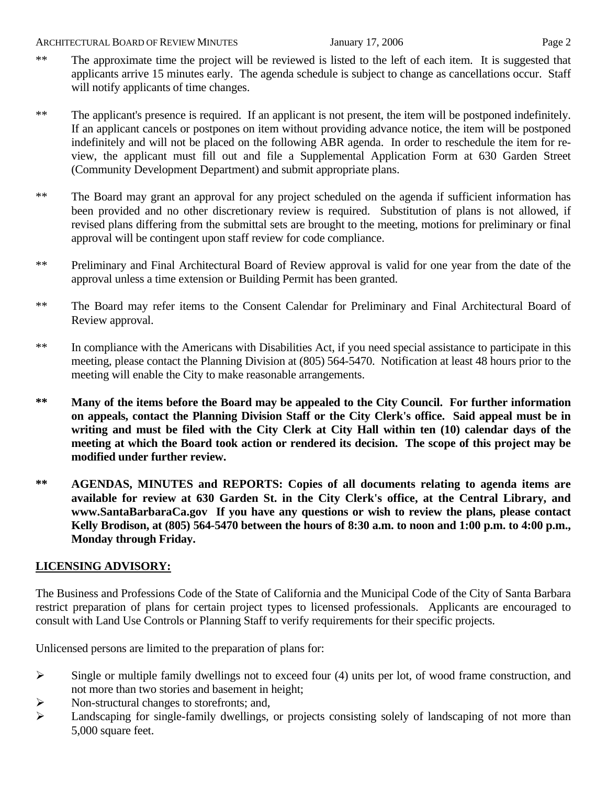#### ARCHITECTURAL BOARD OF REVIEW MINUTES January 17, 2006 **Page 2**

- 
- \*\* The approximate time the project will be reviewed is listed to the left of each item. It is suggested that applicants arrive 15 minutes early. The agenda schedule is subject to change as cancellations occur. Staff will notify applicants of time changes.
- \*\* The applicant's presence is required. If an applicant is not present, the item will be postponed indefinitely. If an applicant cancels or postpones on item without providing advance notice, the item will be postponed indefinitely and will not be placed on the following ABR agenda. In order to reschedule the item for review, the applicant must fill out and file a Supplemental Application Form at 630 Garden Street (Community Development Department) and submit appropriate plans.
- \*\* The Board may grant an approval for any project scheduled on the agenda if sufficient information has been provided and no other discretionary review is required. Substitution of plans is not allowed, if revised plans differing from the submittal sets are brought to the meeting, motions for preliminary or final approval will be contingent upon staff review for code compliance.
- \*\* Preliminary and Final Architectural Board of Review approval is valid for one year from the date of the approval unless a time extension or Building Permit has been granted.
- \*\* The Board may refer items to the Consent Calendar for Preliminary and Final Architectural Board of Review approval.
- \*\* In compliance with the Americans with Disabilities Act, if you need special assistance to participate in this meeting, please contact the Planning Division at (805) 564-5470. Notification at least 48 hours prior to the meeting will enable the City to make reasonable arrangements.
- **\*\* Many of the items before the Board may be appealed to the City Council. For further information on appeals, contact the Planning Division Staff or the City Clerk's office. Said appeal must be in writing and must be filed with the City Clerk at City Hall within ten (10) calendar days of the meeting at which the Board took action or rendered its decision. The scope of this project may be modified under further review.**
- **\*\* AGENDAS, MINUTES and REPORTS: Copies of all documents relating to agenda items are available for review at 630 Garden St. in the City Clerk's office, at the Central Library, and [www.SantaBarbaraCa.gov](http://www.santabarbaraca.gov/) If you have any questions or wish to review the plans, please contact Kelly Brodison, at (805) 564-5470 between the hours of 8:30 a.m. to noon and 1:00 p.m. to 4:00 p.m., Monday through Friday.**

# **LICENSING ADVISORY:**

The Business and Professions Code of the State of California and the Municipal Code of the City of Santa Barbara restrict preparation of plans for certain project types to licensed professionals. Applicants are encouraged to consult with Land Use Controls or Planning Staff to verify requirements for their specific projects.

Unlicensed persons are limited to the preparation of plans for:

- $\triangleright$  Single or multiple family dwellings not to exceed four (4) units per lot, of wood frame construction, and not more than two stories and basement in height;
- ¾ Non-structural changes to storefronts; and,
- ¾ Landscaping for single-family dwellings, or projects consisting solely of landscaping of not more than 5,000 square feet.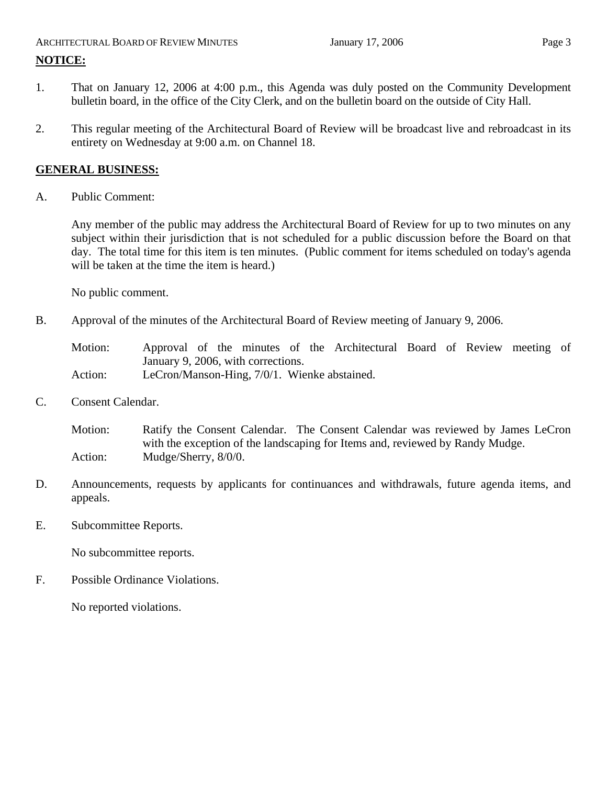# ARCHITECTURAL BOARD OF REVIEW MINUTES January 17, 2006 Page 3 **NOTICE:**

- 1. That on January 12, 2006 at 4:00 p.m., this Agenda was duly posted on the Community Development bulletin board, in the office of the City Clerk, and on the bulletin board on the outside of City Hall.
- 2. This regular meeting of the Architectural Board of Review will be broadcast live and rebroadcast in its entirety on Wednesday at 9:00 a.m. on Channel 18.

# **GENERAL BUSINESS:**

A. Public Comment:

Any member of the public may address the Architectural Board of Review for up to two minutes on any subject within their jurisdiction that is not scheduled for a public discussion before the Board on that day. The total time for this item is ten minutes. (Public comment for items scheduled on today's agenda will be taken at the time the item is heard.)

No public comment.

B. Approval of the minutes of the Architectural Board of Review meeting of January 9, 2006.

Motion: Approval of the minutes of the Architectural Board of Review meeting of January 9, 2006, with corrections. Action: LeCron/Manson-Hing, 7/0/1. Wienke abstained.

C. Consent Calendar.

Motion: Ratify the Consent Calendar. The Consent Calendar was reviewed by James LeCron with the exception of the landscaping for Items and, reviewed by Randy Mudge. Action: Mudge/Sherry, 8/0/0.

- D. Announcements, requests by applicants for continuances and withdrawals, future agenda items, and appeals.
- E. Subcommittee Reports.

No subcommittee reports.

F. Possible Ordinance Violations.

No reported violations.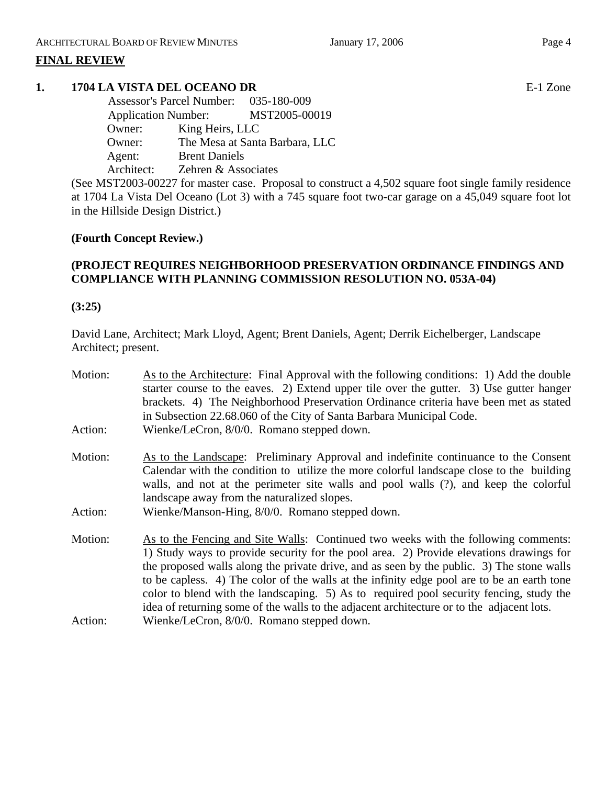# **FINAL REVIEW**

# **1. 1704 LA VISTA DEL OCEANO DR** E-1 Zone

 Assessor's Parcel Number: 035-180-009 Application Number: MST2005-00019 Owner: King Heirs, LLC Owner: The Mesa at Santa Barbara, LLC Agent: Brent Daniels Architect: Zehren & Associates

(See MST2003-00227 for master case. Proposal to construct a 4,502 square foot single family residence at 1704 La Vista Del Oceano (Lot 3) with a 745 square foot two-car garage on a 45,049 square foot lot in the Hillside Design District.)

# **(Fourth Concept Review.)**

# **(PROJECT REQUIRES NEIGHBORHOOD PRESERVATION ORDINANCE FINDINGS AND COMPLIANCE WITH PLANNING COMMISSION RESOLUTION NO. 053A-04)**

#### **(3:25)**

David Lane, Architect; Mark Lloyd, Agent; Brent Daniels, Agent; Derrik Eichelberger, Landscape Architect; present.

| Motion: | As to the Architecture: Final Approval with the following conditions: 1) Add the double<br>starter course to the eaves. 2) Extend upper tile over the gutter. 3) Use gutter hanger<br>brackets. 4) The Neighborhood Preservation Ordinance criteria have been met as stated<br>in Subsection 22.68.060 of the City of Santa Barbara Municipal Code.                                                                                                                                                                                                              |
|---------|------------------------------------------------------------------------------------------------------------------------------------------------------------------------------------------------------------------------------------------------------------------------------------------------------------------------------------------------------------------------------------------------------------------------------------------------------------------------------------------------------------------------------------------------------------------|
| Action: | Wienke/LeCron, 8/0/0. Romano stepped down.                                                                                                                                                                                                                                                                                                                                                                                                                                                                                                                       |
| Motion: | As to the Landscape: Preliminary Approval and indefinite continuance to the Consent<br>Calendar with the condition to utilize the more colorful landscape close to the building<br>walls, and not at the perimeter site walls and pool walls (?), and keep the colorful<br>landscape away from the naturalized slopes.                                                                                                                                                                                                                                           |
| Action: | Wienke/Manson-Hing, 8/0/0. Romano stepped down.                                                                                                                                                                                                                                                                                                                                                                                                                                                                                                                  |
| Motion: | As to the Fencing and Site Walls: Continued two weeks with the following comments:<br>1) Study ways to provide security for the pool area. 2) Provide elevations drawings for<br>the proposed walls along the private drive, and as seen by the public. 3) The stone walls<br>to be capless. 4) The color of the walls at the infinity edge pool are to be an earth tone<br>color to blend with the landscaping. 5) As to required pool security fencing, study the<br>idea of returning some of the walls to the adjacent architecture or to the adjacent lots. |
| Action: | Wienke/LeCron, 8/0/0. Romano stepped down.                                                                                                                                                                                                                                                                                                                                                                                                                                                                                                                       |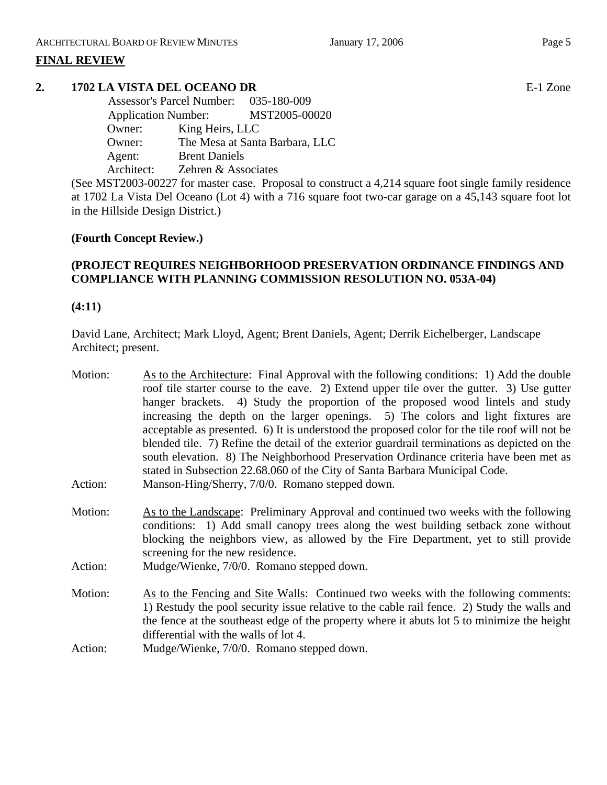# **FINAL REVIEW**

# **2. 1702 LA VISTA DEL OCEANO DR** E-1 Zone

 Assessor's Parcel Number: 035-180-009 Application Number: MST2005-00020 Owner: King Heirs, LLC Owner: The Mesa at Santa Barbara, LLC Agent: Brent Daniels Architect: Zehren & Associates

(See MST2003-00227 for master case. Proposal to construct a 4,214 square foot single family residence at 1702 La Vista Del Oceano (Lot 4) with a 716 square foot two-car garage on a 45,143 square foot lot in the Hillside Design District.)

# **(Fourth Concept Review.)**

# **(PROJECT REQUIRES NEIGHBORHOOD PRESERVATION ORDINANCE FINDINGS AND COMPLIANCE WITH PLANNING COMMISSION RESOLUTION NO. 053A-04)**

#### **(4:11)**

David Lane, Architect; Mark Lloyd, Agent; Brent Daniels, Agent; Derrik Eichelberger, Landscape Architect; present.

| Motion: | As to the Architecture: Final Approval with the following conditions: 1) Add the double       |
|---------|-----------------------------------------------------------------------------------------------|
|         | roof tile starter course to the eave. 2) Extend upper tile over the gutter. 3) Use gutter     |
|         | hanger brackets. 4) Study the proportion of the proposed wood lintels and study               |
|         | increasing the depth on the larger openings. 5) The colors and light fixtures are             |
|         | acceptable as presented. 6) It is understood the proposed color for the tile roof will not be |
|         | blended tile. 7) Refine the detail of the exterior guardrail terminations as depicted on the  |
|         |                                                                                               |
|         | south elevation. 8) The Neighborhood Preservation Ordinance criteria have been met as         |
|         | stated in Subsection 22.68.060 of the City of Santa Barbara Municipal Code.                   |
| Action: | Manson-Hing/Sherry, 7/0/0. Romano stepped down.                                               |
| Motion: | As to the Landscape: Preliminary Approval and continued two weeks with the following          |
|         | conditions: 1) Add small canopy trees along the west building setback zone without            |
|         | blocking the neighbors view, as allowed by the Fire Department, yet to still provide          |
|         | screening for the new residence.                                                              |
| Action: | Mudge/Wienke, 7/0/0. Romano stepped down.                                                     |
|         |                                                                                               |
| Motion: | As to the Fencing and Site Walls: Continued two weeks with the following comments:            |
|         | 1) Restudy the pool security issue relative to the cable rail fence. 2) Study the walls and   |
|         | the fence at the southeast edge of the property where it abuts lot 5 to minimize the height   |
|         | differential with the walls of lot 4.                                                         |
| Action: | Mudge/Wienke, 7/0/0. Romano stepped down.                                                     |
|         |                                                                                               |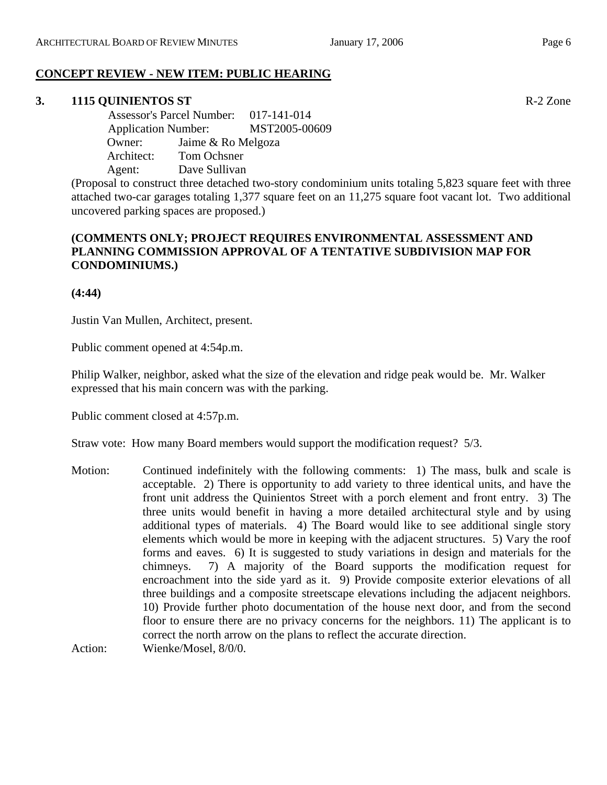# **CONCEPT REVIEW - NEW ITEM: PUBLIC HEARING**

# **3. 1115 QUINIENTOS ST** R-2 Zone

 Assessor's Parcel Number: 017-141-014 Application Number: MST2005-00609 Owner: Jaime & Ro Melgoza Architect: Tom Ochsner Agent: Dave Sullivan

(Proposal to construct three detached two-story condominium units totaling 5,823 square feet with three attached two-car garages totaling 1,377 square feet on an 11,275 square foot vacant lot. Two additional uncovered parking spaces are proposed.)

# **(COMMENTS ONLY; PROJECT REQUIRES ENVIRONMENTAL ASSESSMENT AND PLANNING COMMISSION APPROVAL OF A TENTATIVE SUBDIVISION MAP FOR CONDOMINIUMS.)**

**(4:44)**

Justin Van Mullen, Architect, present.

Public comment opened at 4:54p.m.

Philip Walker, neighbor, asked what the size of the elevation and ridge peak would be. Mr. Walker expressed that his main concern was with the parking.

Public comment closed at 4:57p.m.

Straw vote: How many Board members would support the modification request? 5/3.

Motion: Continued indefinitely with the following comments: 1) The mass, bulk and scale is acceptable. 2) There is opportunity to add variety to three identical units, and have the front unit address the Quinientos Street with a porch element and front entry. 3) The three units would benefit in having a more detailed architectural style and by using additional types of materials. 4) The Board would like to see additional single story elements which would be more in keeping with the adjacent structures. 5) Vary the roof forms and eaves. 6) It is suggested to study variations in design and materials for the chimneys. 7) A majority of the Board supports the modification request for encroachment into the side yard as it. 9) Provide composite exterior elevations of all three buildings and a composite streetscape elevations including the adjacent neighbors. 10) Provide further photo documentation of the house next door, and from the second floor to ensure there are no privacy concerns for the neighbors. 11) The applicant is to correct the north arrow on the plans to reflect the accurate direction.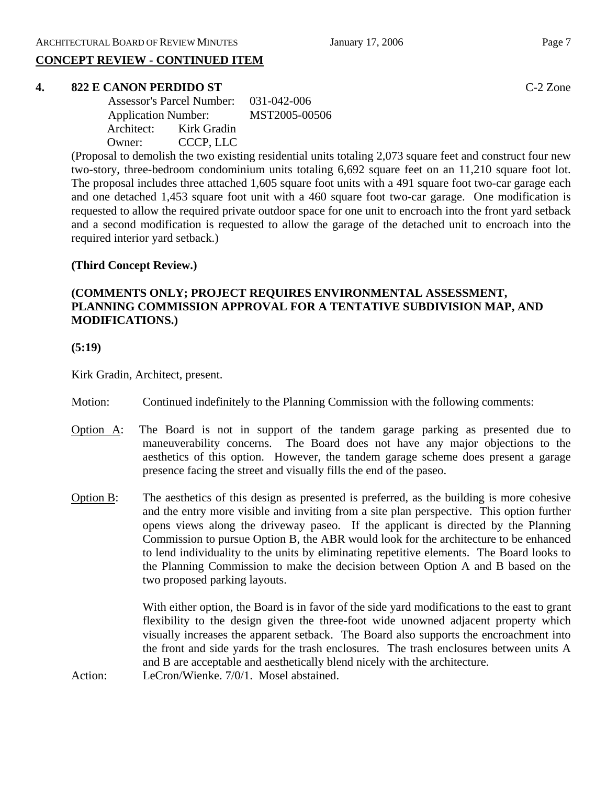# **CONCEPT REVIEW - CONTINUED ITEM**

#### **4. 822 E CANON PERDIDO ST** C-2 Zone

|        | Assessor's Parcel Number: 031-042-006 |               |
|--------|---------------------------------------|---------------|
|        | <b>Application Number:</b>            | MST2005-00506 |
|        | Architect: Kirk Gradin                |               |
| Owner: | CCCP, LLC                             |               |

(Proposal to demolish the two existing residential units totaling 2,073 square feet and construct four new two-story, three-bedroom condominium units totaling 6,692 square feet on an 11,210 square foot lot. The proposal includes three attached 1,605 square foot units with a 491 square foot two-car garage each and one detached 1,453 square foot unit with a 460 square foot two-car garage. One modification is requested to allow the required private outdoor space for one unit to encroach into the front yard setback and a second modification is requested to allow the garage of the detached unit to encroach into the required interior yard setback.)

# **(Third Concept Review.)**

# **(COMMENTS ONLY; PROJECT REQUIRES ENVIRONMENTAL ASSESSMENT, PLANNING COMMISSION APPROVAL FOR A TENTATIVE SUBDIVISION MAP, AND MODIFICATIONS.)**

**(5:19)** 

Kirk Gradin, Architect, present.

- Motion: Continued indefinitely to the Planning Commission with the following comments:
- Option  $\overline{A}$ : The Board is not in support of the tandem garage parking as presented due to maneuverability concerns. The Board does not have any major objections to the aesthetics of this option. However, the tandem garage scheme does present a garage presence facing the street and visually fills the end of the paseo.
- Option B: The aesthetics of this design as presented is preferred, as the building is more cohesive and the entry more visible and inviting from a site plan perspective. This option further opens views along the driveway paseo. If the applicant is directed by the Planning Commission to pursue Option B, the ABR would look for the architecture to be enhanced to lend individuality to the units by eliminating repetitive elements. The Board looks to the Planning Commission to make the decision between Option A and B based on the two proposed parking layouts.

With either option, the Board is in favor of the side yard modifications to the east to grant flexibility to the design given the three-foot wide unowned adjacent property which visually increases the apparent setback. The Board also supports the encroachment into the front and side yards for the trash enclosures. The trash enclosures between units A and B are acceptable and aesthetically blend nicely with the architecture.

Action: LeCron/Wienke. 7/0/1. Mosel abstained.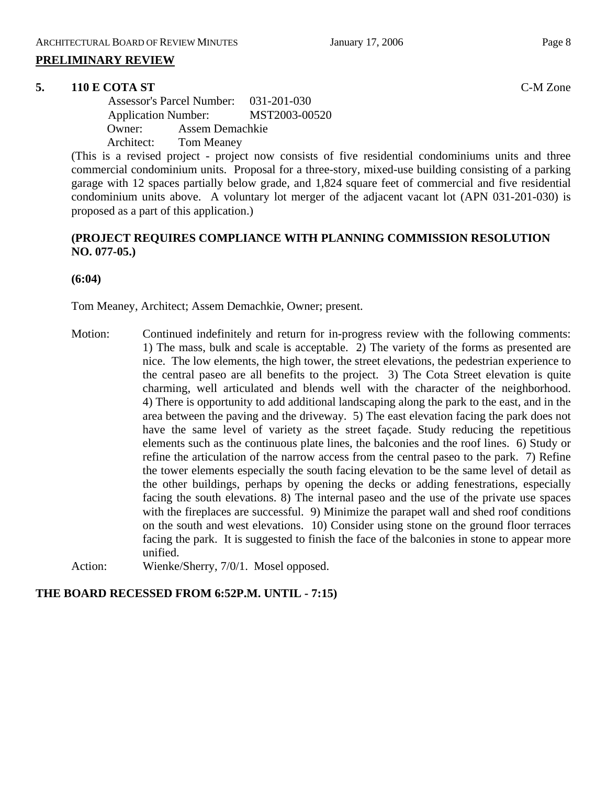#### **PRELIMINARY REVIEW**

#### **5. 110 E COTA ST** C-M Zone

 Assessor's Parcel Number: 031-201-030 Application Number: MST2003-00520 Owner: Assem Demachkie Architect: Tom Meaney

(This is a revised project - project now consists of five residential condominiums units and three commercial condominium units. Proposal for a three-story, mixed-use building consisting of a parking garage with 12 spaces partially below grade, and 1,824 square feet of commercial and five residential condominium units above. A voluntary lot merger of the adjacent vacant lot (APN 031-201-030) is proposed as a part of this application.)

### **(PROJECT REQUIRES COMPLIANCE WITH PLANNING COMMISSION RESOLUTION NO. 077-05.)**

**(6:04)**

Tom Meaney, Architect; Assem Demachkie, Owner; present.

Motion: Continued indefinitely and return for in-progress review with the following comments: 1) The mass, bulk and scale is acceptable. 2) The variety of the forms as presented are nice. The low elements, the high tower, the street elevations, the pedestrian experience to the central paseo are all benefits to the project. 3) The Cota Street elevation is quite charming, well articulated and blends well with the character of the neighborhood. 4) There is opportunity to add additional landscaping along the park to the east, and in the area between the paving and the driveway. 5) The east elevation facing the park does not have the same level of variety as the street façade. Study reducing the repetitious elements such as the continuous plate lines, the balconies and the roof lines. 6) Study or refine the articulation of the narrow access from the central paseo to the park. 7) Refine the tower elements especially the south facing elevation to be the same level of detail as the other buildings, perhaps by opening the decks or adding fenestrations, especially facing the south elevations. 8) The internal paseo and the use of the private use spaces with the fireplaces are successful. 9) Minimize the parapet wall and shed roof conditions on the south and west elevations. 10) Consider using stone on the ground floor terraces facing the park. It is suggested to finish the face of the balconies in stone to appear more unified.

Action: Wienke/Sherry, 7/0/1. Mosel opposed.

# **THE BOARD RECESSED FROM 6:52P.M. UNTIL - 7:15)**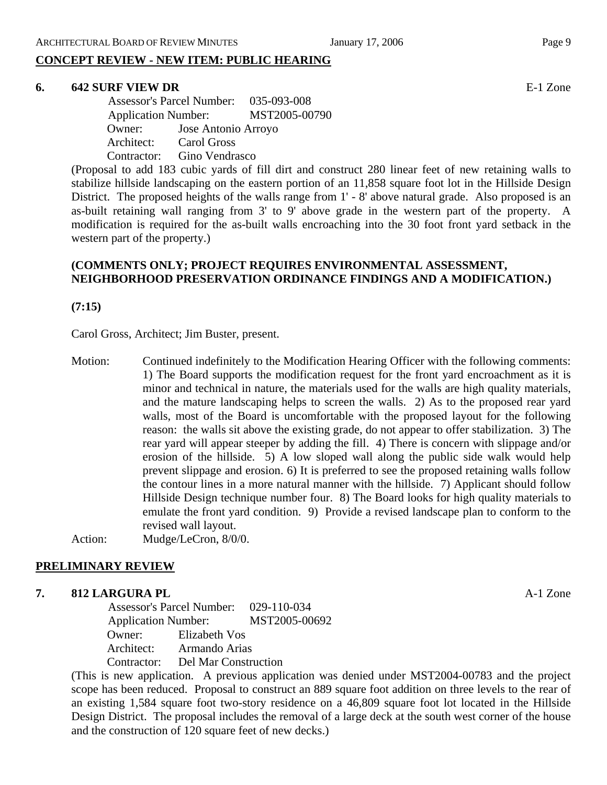# **CONCEPT REVIEW - NEW ITEM: PUBLIC HEARING**

#### **6. 642 SURF VIEW DR** E-1 Zone

 Assessor's Parcel Number: 035-093-008 Application Number: MST2005-00790 Owner: Jose Antonio Arroyo Architect: Carol Gross Contractor: Gino Vendrasco

(Proposal to add 183 cubic yards of fill dirt and construct 280 linear feet of new retaining walls to stabilize hillside landscaping on the eastern portion of an 11,858 square foot lot in the Hillside Design District. The proposed heights of the walls range from 1' - 8' above natural grade. Also proposed is an as-built retaining wall ranging from 3' to 9' above grade in the western part of the property. A modification is required for the as-built walls encroaching into the 30 foot front yard setback in the western part of the property.)

# **(COMMENTS ONLY; PROJECT REQUIRES ENVIRONMENTAL ASSESSMENT, NEIGHBORHOOD PRESERVATION ORDINANCE FINDINGS AND A MODIFICATION.)**

**(7:15)** 

Carol Gross, Architect; Jim Buster, present.

Motion: Continued indefinitely to the Modification Hearing Officer with the following comments: 1) The Board supports the modification request for the front yard encroachment as it is minor and technical in nature, the materials used for the walls are high quality materials, and the mature landscaping helps to screen the walls. 2) As to the proposed rear yard walls, most of the Board is uncomfortable with the proposed layout for the following reason: the walls sit above the existing grade, do not appear to offer stabilization. 3) The rear yard will appear steeper by adding the fill. 4) There is concern with slippage and/or erosion of the hillside. 5) A low sloped wall along the public side walk would help prevent slippage and erosion. 6) It is preferred to see the proposed retaining walls follow the contour lines in a more natural manner with the hillside. 7) Applicant should follow Hillside Design technique number four. 8) The Board looks for high quality materials to emulate the front yard condition. 9) Provide a revised landscape plan to conform to the revised wall layout.

Action: Mudge/LeCron, 8/0/0.

# **PRELIMINARY REVIEW**

# **7. 812 LARGURA PL**   $A-1$  Zone

 Assessor's Parcel Number: 029-110-034 Application Number: MST2005-00692 Owner: Elizabeth Vos Architect: Armando Arias Contractor: Del Mar Construction

(This is new application. A previous application was denied under MST2004-00783 and the project scope has been reduced. Proposal to construct an 889 square foot addition on three levels to the rear of an existing 1,584 square foot two-story residence on a 46,809 square foot lot located in the Hillside Design District. The proposal includes the removal of a large deck at the south west corner of the house and the construction of 120 square feet of new decks.)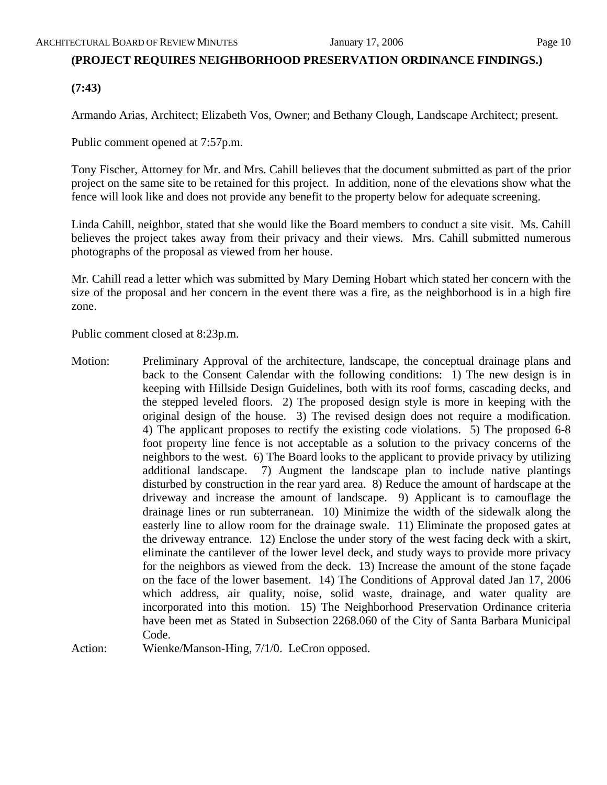# **(PROJECT REQUIRES NEIGHBORHOOD PRESERVATION ORDINANCE FINDINGS.)**

# **(7:43)**

Armando Arias, Architect; Elizabeth Vos, Owner; and Bethany Clough, Landscape Architect; present.

Public comment opened at 7:57p.m.

Tony Fischer, Attorney for Mr. and Mrs. Cahill believes that the document submitted as part of the prior project on the same site to be retained for this project. In addition, none of the elevations show what the fence will look like and does not provide any benefit to the property below for adequate screening.

Linda Cahill, neighbor, stated that she would like the Board members to conduct a site visit. Ms. Cahill believes the project takes away from their privacy and their views. Mrs. Cahill submitted numerous photographs of the proposal as viewed from her house.

Mr. Cahill read a letter which was submitted by Mary Deming Hobart which stated her concern with the size of the proposal and her concern in the event there was a fire, as the neighborhood is in a high fire zone.

Public comment closed at 8:23p.m.

Motion: Preliminary Approval of the architecture, landscape, the conceptual drainage plans and back to the Consent Calendar with the following conditions: 1) The new design is in keeping with Hillside Design Guidelines, both with its roof forms, cascading decks, and the stepped leveled floors. 2) The proposed design style is more in keeping with the original design of the house. 3) The revised design does not require a modification. 4) The applicant proposes to rectify the existing code violations. 5) The proposed 6-8 foot property line fence is not acceptable as a solution to the privacy concerns of the neighbors to the west. 6) The Board looks to the applicant to provide privacy by utilizing additional landscape. 7) Augment the landscape plan to include native plantings disturbed by construction in the rear yard area. 8) Reduce the amount of hardscape at the driveway and increase the amount of landscape. 9) Applicant is to camouflage the drainage lines or run subterranean. 10) Minimize the width of the sidewalk along the easterly line to allow room for the drainage swale. 11) Eliminate the proposed gates at the driveway entrance. 12) Enclose the under story of the west facing deck with a skirt, eliminate the cantilever of the lower level deck, and study ways to provide more privacy for the neighbors as viewed from the deck. 13) Increase the amount of the stone façade on the face of the lower basement. 14) The Conditions of Approval dated Jan 17, 2006 which address, air quality, noise, solid waste, drainage, and water quality are incorporated into this motion. 15) The Neighborhood Preservation Ordinance criteria have been met as Stated in Subsection 2268.060 of the City of Santa Barbara Municipal Code.

Action: Wienke/Manson-Hing, 7/1/0. LeCron opposed.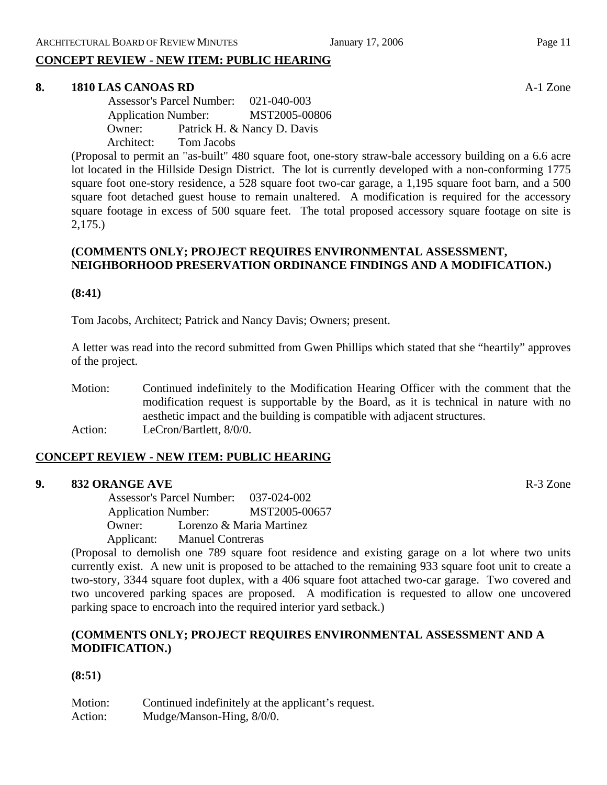# **CONCEPT REVIEW - NEW ITEM: PUBLIC HEARING**

#### **8. 1810 LAS CANOAS RD** A-1 Zone

 Assessor's Parcel Number: 021-040-003 Application Number: MST2005-00806 Owner: Patrick H. & Nancy D. Davis Architect: Tom Jacobs

(Proposal to permit an "as-built" 480 square foot, one-story straw-bale accessory building on a 6.6 acre lot located in the Hillside Design District. The lot is currently developed with a non-conforming 1775 square foot one-story residence, a 528 square foot two-car garage, a 1,195 square foot barn, and a 500 square foot detached guest house to remain unaltered. A modification is required for the accessory square footage in excess of 500 square feet. The total proposed accessory square footage on site is 2,175.)

#### **(COMMENTS ONLY; PROJECT REQUIRES ENVIRONMENTAL ASSESSMENT, NEIGHBORHOOD PRESERVATION ORDINANCE FINDINGS AND A MODIFICATION.)**

#### **(8:41)**

Tom Jacobs, Architect; Patrick and Nancy Davis; Owners; present.

A letter was read into the record submitted from Gwen Phillips which stated that she "heartily" approves of the project.

Motion: Continued indefinitely to the Modification Hearing Officer with the comment that the modification request is supportable by the Board, as it is technical in nature with no aesthetic impact and the building is compatible with adjacent structures. Action: LeCron/Bartlett, 8/0/0.

### **CONCEPT REVIEW - NEW ITEM: PUBLIC HEARING**

#### **9. 832 ORANGE AVE** R-3 Zone

 Assessor's Parcel Number: 037-024-002 Application Number: MST2005-00657 Owner: Lorenzo & Maria Martinez Applicant: Manuel Contreras

(Proposal to demolish one 789 square foot residence and existing garage on a lot where two units currently exist. A new unit is proposed to be attached to the remaining 933 square foot unit to create a two-story, 3344 square foot duplex, with a 406 square foot attached two-car garage. Two covered and two uncovered parking spaces are proposed. A modification is requested to allow one uncovered parking space to encroach into the required interior yard setback.)

# **(COMMENTS ONLY; PROJECT REQUIRES ENVIRONMENTAL ASSESSMENT AND A MODIFICATION.)**

# **(8:51)**

Motion: Continued indefinitely at the applicant's request. Action: Mudge/Manson-Hing,  $8/0/0$ .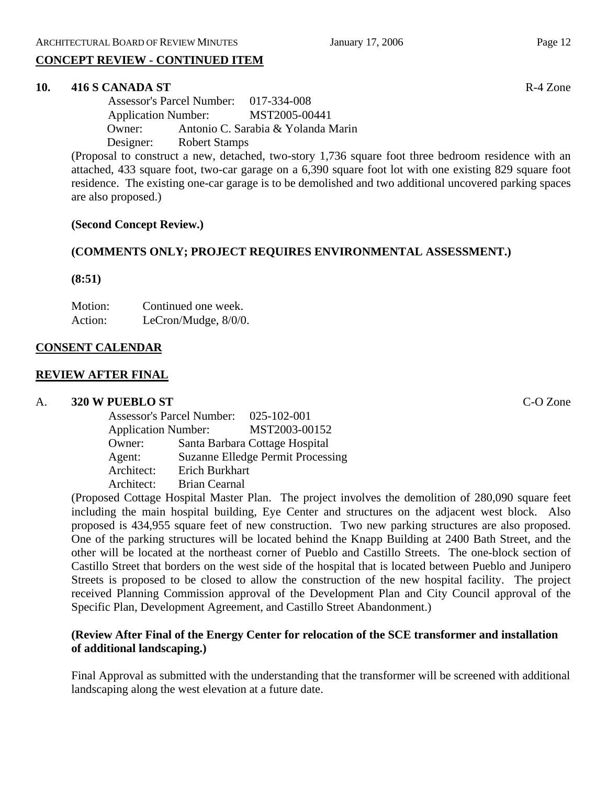# **CONCEPT REVIEW - CONTINUED ITEM**

#### **10. 416 S CANADA ST** R-4 Zone

 Assessor's Parcel Number: 017-334-008 Application Number: MST2005-00441 Owner: Antonio C. Sarabia & Yolanda Marin Designer: Robert Stamps

(Proposal to construct a new, detached, two-story 1,736 square foot three bedroom residence with an attached, 433 square foot, two-car garage on a 6,390 square foot lot with one existing 829 square foot residence. The existing one-car garage is to be demolished and two additional uncovered parking spaces are also proposed.)

#### **(Second Concept Review.)**

#### **(COMMENTS ONLY; PROJECT REQUIRES ENVIRONMENTAL ASSESSMENT.)**

**(8:51)**

Motion: Continued one week. Action: LeCron/Mudge,  $8/0/0$ .

#### **CONSENT CALENDAR**

#### **REVIEW AFTER FINAL**

#### A. **320 W PUEBLO ST** C-O Zone

| <b>Assessor's Parcel Number:</b> |                      | $025 - 102 - 001$                        |
|----------------------------------|----------------------|------------------------------------------|
| <b>Application Number:</b>       |                      | MST2003-00152                            |
| Owner:                           |                      | Santa Barbara Cottage Hospital           |
| Agent:                           |                      | <b>Suzanne Elledge Permit Processing</b> |
| Architect:                       | Erich Burkhart       |                                          |
| Architect:                       | <b>Brian Cearnal</b> |                                          |

(Proposed Cottage Hospital Master Plan. The project involves the demolition of 280,090 square feet including the main hospital building, Eye Center and structures on the adjacent west block. Also proposed is 434,955 square feet of new construction. Two new parking structures are also proposed. One of the parking structures will be located behind the Knapp Building at 2400 Bath Street, and the other will be located at the northeast corner of Pueblo and Castillo Streets. The one-block section of Castillo Street that borders on the west side of the hospital that is located between Pueblo and Junipero Streets is proposed to be closed to allow the construction of the new hospital facility. The project received Planning Commission approval of the Development Plan and City Council approval of the Specific Plan, Development Agreement, and Castillo Street Abandonment.)

# **(Review After Final of the Energy Center for relocation of the SCE transformer and installation of additional landscaping.)**

Final Approval as submitted with the understanding that the transformer will be screened with additional landscaping along the west elevation at a future date.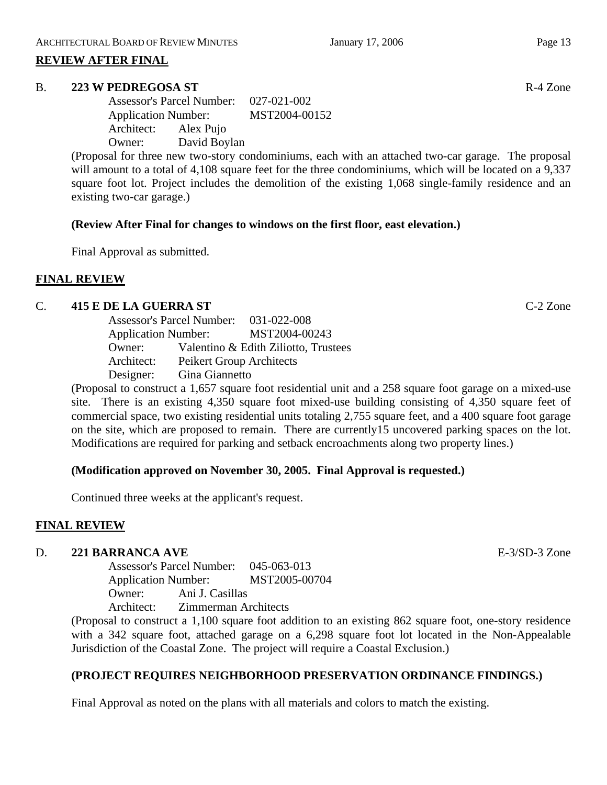#### **REVIEW AFTER FINAL**

#### B. **223 W PEDREGOSA ST** R-4 Zone

Assessor's Parcel Number: 027-021-002 Application Number: MST2004-00152 Architect: Alex Pujo Owner: David Boylan

(Proposal for three new two-story condominiums, each with an attached two-car garage. The proposal will amount to a total of 4,108 square feet for the three condominiums, which will be located on a 9,337 square foot lot. Project includes the demolition of the existing 1,068 single-family residence and an existing two-car garage.)

#### **(Review After Final for changes to windows on the first floor, east elevation.)**

Final Approval as submitted.

#### **FINAL REVIEW**

#### C. **415 E DE LA GUERRA ST** C-2 Zone

|                            | Assessor's Parcel Number: 031-022-008 |
|----------------------------|---------------------------------------|
| <b>Application Number:</b> | MST2004-00243                         |
| Owner:                     | Valentino & Edith Ziliotto, Trustees  |
| Architect:                 | Peikert Group Architects              |
| Designer:                  | Gina Giannetto                        |

(Proposal to construct a 1,657 square foot residential unit and a 258 square foot garage on a mixed-use site. There is an existing 4,350 square foot mixed-use building consisting of 4,350 square feet of commercial space, two existing residential units totaling 2,755 square feet, and a 400 square foot garage on the site, which are proposed to remain. There are currently15 uncovered parking spaces on the lot. Modifications are required for parking and setback encroachments along two property lines.)

#### **(Modification approved on November 30, 2005. Final Approval is requested.)**

Continued three weeks at the applicant's request.

#### **FINAL REVIEW**

#### D. **221 BARRANCA AVE** E-3/SD-3 Zone

Assessor's Parcel Number: 045-063-013 Application Number: MST2005-00704 Owner: Ani J. Casillas Architect: Zimmerman Architects

(Proposal to construct a 1,100 square foot addition to an existing 862 square foot, one-story residence with a 342 square foot, attached garage on a 6,298 square foot lot located in the Non-Appealable Jurisdiction of the Coastal Zone. The project will require a Coastal Exclusion.)

#### **(PROJECT REQUIRES NEIGHBORHOOD PRESERVATION ORDINANCE FINDINGS.)**

Final Approval as noted on the plans with all materials and colors to match the existing.